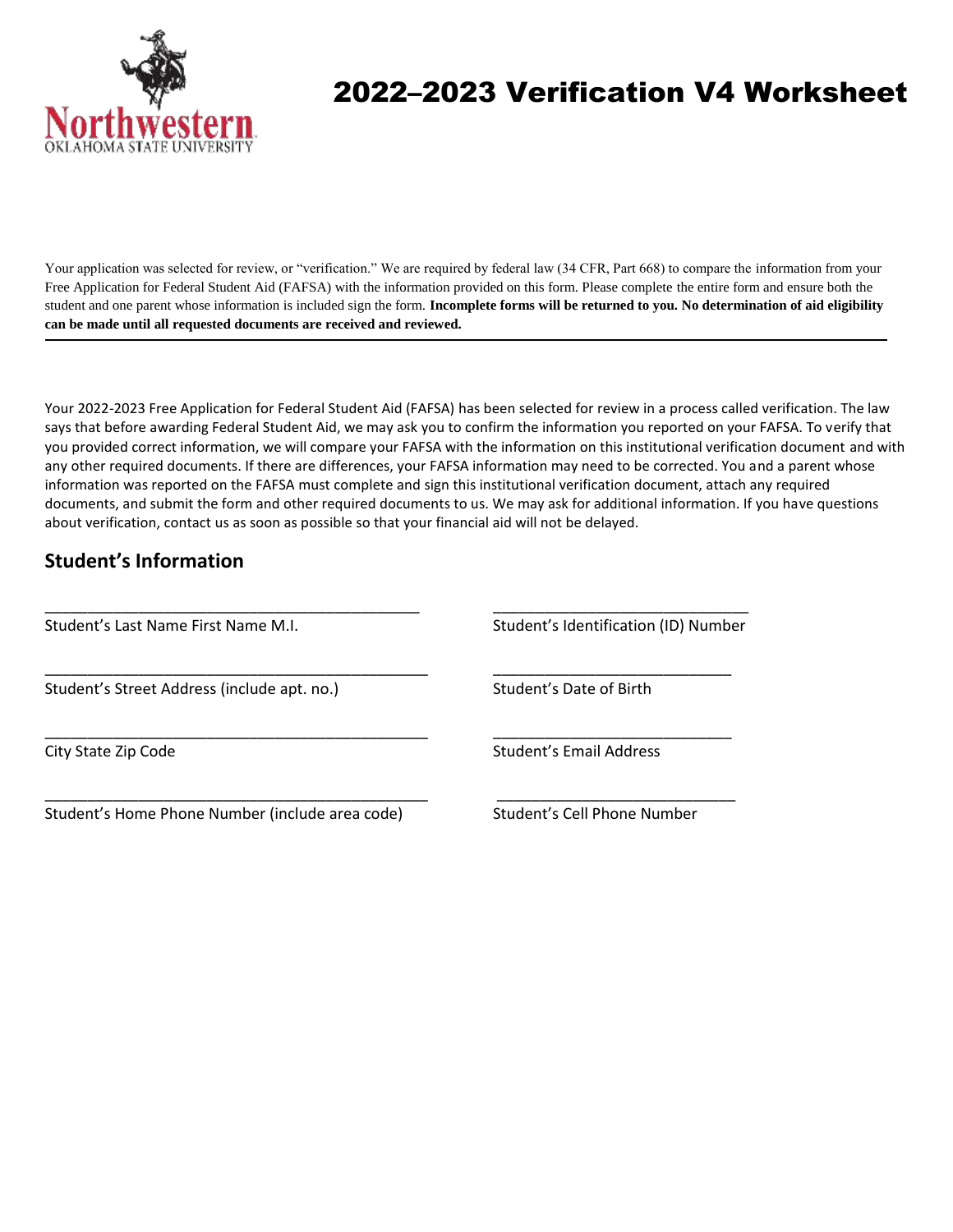

# 2022–2023 Verification V4 Worksheet

Your application was selected for review, or "verification." We are required by federal law (34 CFR, Part 668) to compare the information from your Free Application for Federal Student Aid (FAFSA) with the information provided on this form. Please complete the entire form and ensure both the student and one parent whose information is included sign the form. **Incomplete forms will be returned to you. No determination of aid eligibility can be made until all requested documents are received and reviewed.**

Your 2022-2023 Free Application for Federal Student Aid (FAFSA) has been selected for review in a process called verification. The law says that before awarding Federal Student Aid, we may ask you to confirm the information you reported on your FAFSA. To verify that you provided correct information, we will compare your FAFSA with the information on this institutional verification document and with any other required documents. If there are differences, your FAFSA information may need to be corrected. You and a parent whose information was reported on the FAFSA must complete and sign this institutional verification document, attach any required documents, and submit the form and other required documents to us. We may ask for additional information. If you have questions about verification, contact us as soon as possible so that your financial aid will not be delayed.

\_\_\_\_\_\_\_\_\_\_\_\_\_\_\_\_\_\_\_\_\_\_\_\_\_\_\_\_\_\_\_\_\_\_\_\_\_\_\_\_\_\_\_\_\_ \_\_\_\_\_\_\_\_\_\_\_\_\_\_\_\_\_\_\_\_\_\_\_\_\_\_\_\_

\_\_\_\_\_\_\_\_\_\_\_\_\_\_\_\_\_\_\_\_\_\_\_\_\_\_\_\_\_\_\_\_\_\_\_\_\_\_\_\_\_\_\_\_\_ \_\_\_\_\_\_\_\_\_\_\_\_\_\_\_\_\_\_\_\_\_\_\_\_\_\_\_\_

## **Student's Information**

Student's Last Name First Name M.I. Student's Identification (ID) Number

\_\_\_\_\_\_\_\_\_\_\_\_\_\_\_\_\_\_\_\_\_\_\_\_\_\_\_\_\_\_\_\_\_\_\_\_\_\_\_\_\_\_\_\_ \_\_\_\_\_\_\_\_\_\_\_\_\_\_\_\_\_\_\_\_\_\_\_\_\_\_\_\_\_\_

Student's Street Address (include apt. no.) Student's Date of Birth

City State Zip Code **Student's Email Address** 

Student's Home Phone Number (include area code) Student's Cell Phone Number

\_\_\_\_\_\_\_\_\_\_\_\_\_\_\_\_\_\_\_\_\_\_\_\_\_\_\_\_\_\_\_\_\_\_\_\_\_\_\_\_\_\_\_\_\_ \_\_\_\_\_\_\_\_\_\_\_\_\_\_\_\_\_\_\_\_\_\_\_\_\_\_\_\_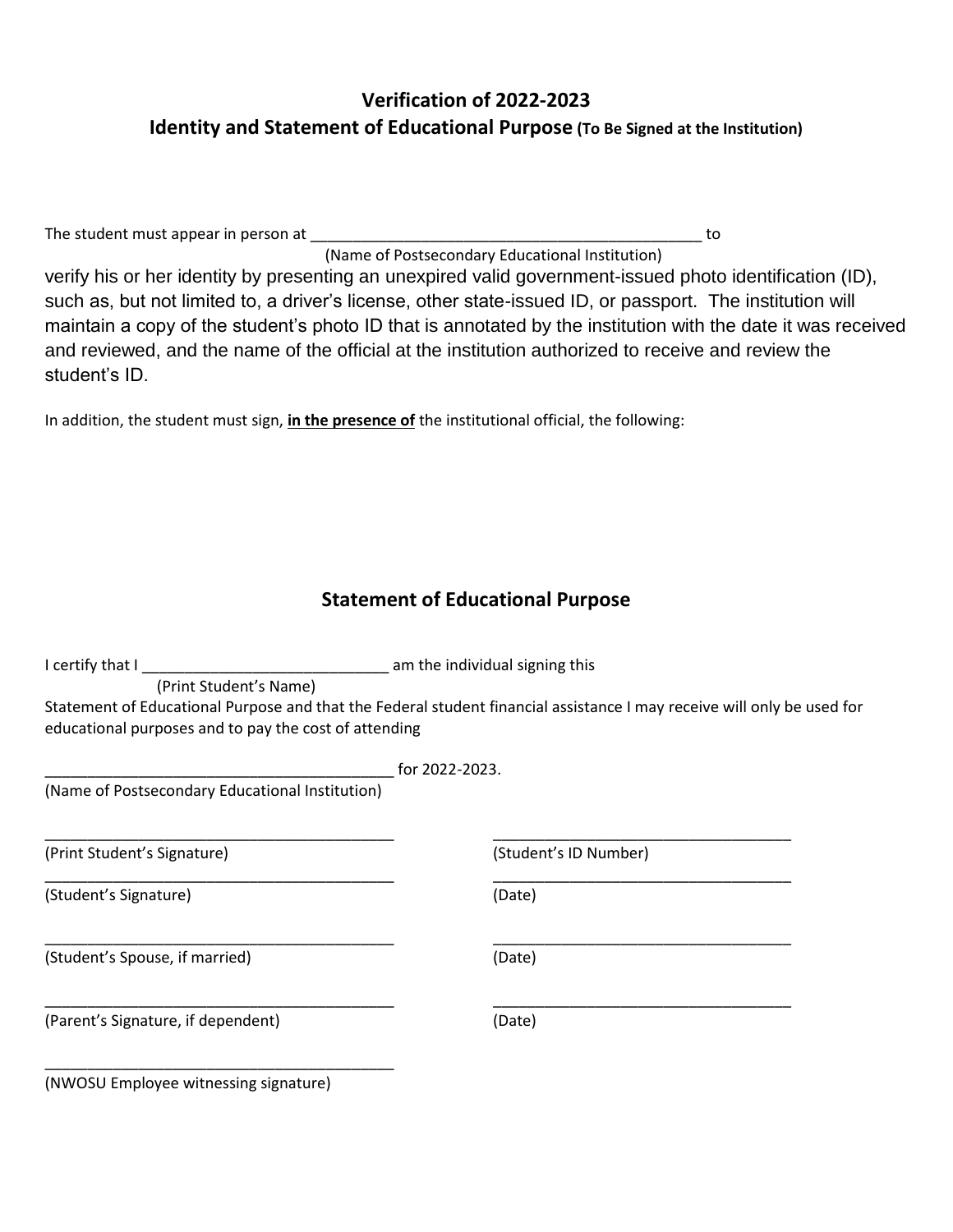## **Verification of 2022-2023 Identity and Statement of Educational Purpose (To Be Signed at the Institution)**

The student must appear in person at \_\_\_\_\_\_\_\_\_\_\_\_\_\_\_\_\_\_\_\_\_\_\_\_\_\_\_\_\_\_\_\_\_\_\_\_\_\_\_\_\_\_\_\_\_\_ to

(Name of Postsecondary Educational Institution) verify his or her identity by presenting an unexpired valid government-issued photo identification (ID), such as, but not limited to, a driver's license, other state-issued ID, or passport. The institution will maintain a copy of the student's photo ID that is annotated by the institution with the date it was received and reviewed, and the name of the official at the institution authorized to receive and review the student's ID.

In addition, the student must sign, **in the presence of** the institutional official, the following:

#### **Statement of Educational Purpose**

| I certify that I                                                                | am the individual signing this                                                                                         |  |  |  |
|---------------------------------------------------------------------------------|------------------------------------------------------------------------------------------------------------------------|--|--|--|
| (Print Student's Name)<br>educational purposes and to pay the cost of attending | Statement of Educational Purpose and that the Federal student financial assistance I may receive will only be used for |  |  |  |
|                                                                                 | for 2022-2023.                                                                                                         |  |  |  |
| (Name of Postsecondary Educational Institution)                                 |                                                                                                                        |  |  |  |
| (Print Student's Signature)                                                     | (Student's ID Number)                                                                                                  |  |  |  |
| (Student's Signature)                                                           | (Date)                                                                                                                 |  |  |  |
| (Student's Spouse, if married)                                                  | (Date)                                                                                                                 |  |  |  |
| (Parent's Signature, if dependent)                                              | (Date)                                                                                                                 |  |  |  |
| (NWOSU Employee witnessing signature)                                           |                                                                                                                        |  |  |  |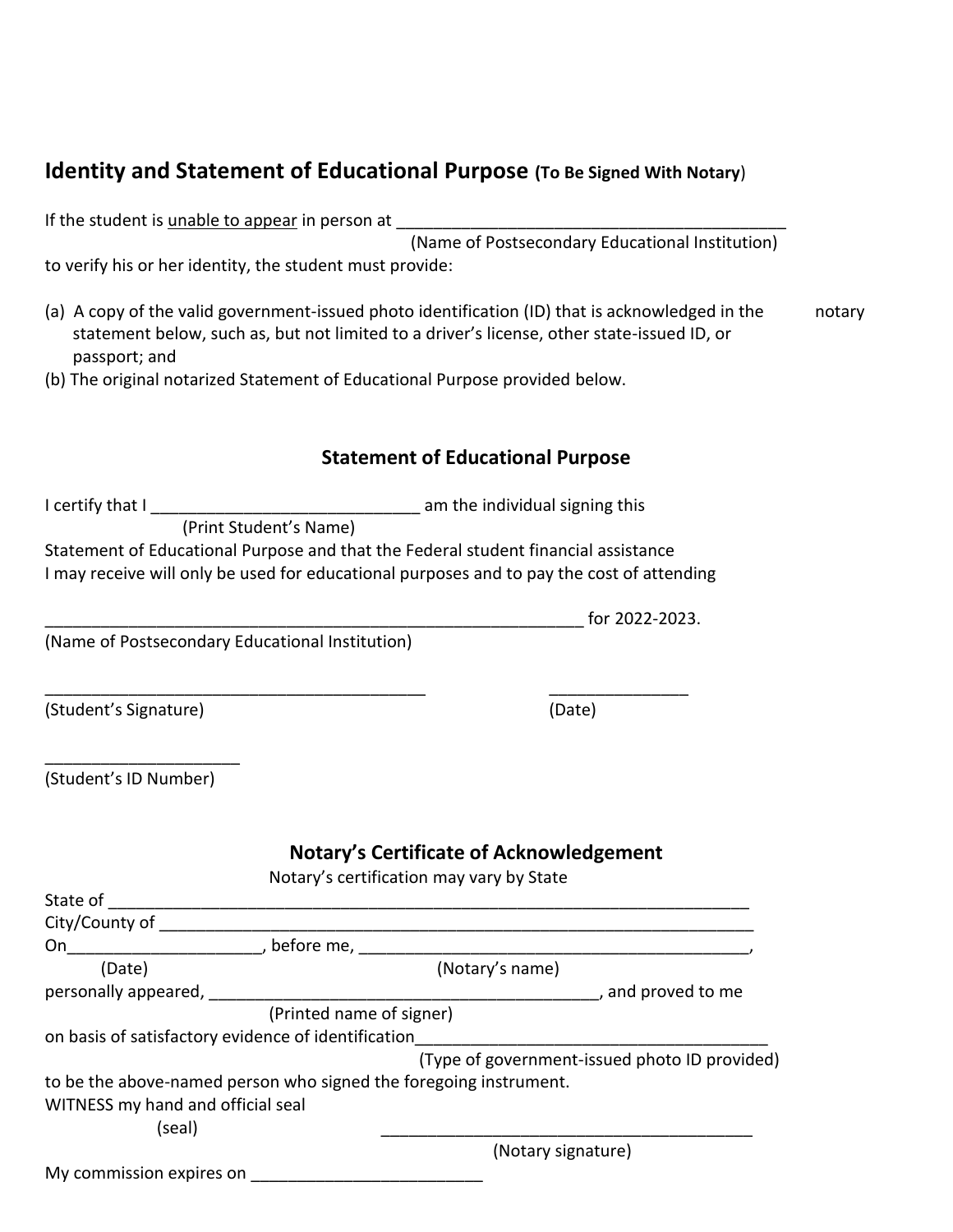## **Identity and Statement of Educational Purpose (To Be Signed With Notary**)

If the student is unable to appear in person at

(Name of Postsecondary Educational Institution)

to verify his or her identity, the student must provide:

- (a) A copy of the valid government-issued photo identification (ID) that is acknowledged in the notary statement below, such as, but not limited to a driver's license, other state-issued ID, or passport; and
- (b) The original notarized Statement of Educational Purpose provided below.

#### **Statement of Educational Purpose**

I certify that I \_\_\_\_\_\_\_\_\_\_\_\_\_\_\_\_\_\_\_\_\_\_\_\_\_\_\_\_\_ am the individual signing this (Print Student's Name) Statement of Educational Purpose and that the Federal student financial assistance I may receive will only be used for educational purposes and to pay the cost of attending

(Name of Postsecondary Educational Institution)

(Student's Signature) (Date)

| (Student's ID Number) |  |
|-----------------------|--|

## **Notary's Certificate of Acknowledgement**

Notary's certification may vary by State

| State of                                                          |                          |                 |                                               |
|-------------------------------------------------------------------|--------------------------|-----------------|-----------------------------------------------|
| City/County of                                                    |                          |                 |                                               |
| On                                                                | , before me,             |                 |                                               |
| (Date)                                                            |                          | (Notary's name) |                                               |
| personally appeared,                                              |                          |                 | , and proved to me                            |
|                                                                   | (Printed name of signer) |                 |                                               |
| on basis of satisfactory evidence of identification               |                          |                 |                                               |
|                                                                   |                          |                 | (Type of government-issued photo ID provided) |
| to be the above-named person who signed the foregoing instrument. |                          |                 |                                               |
| WITNESS my hand and official seal                                 |                          |                 |                                               |
| (seal)                                                            |                          |                 |                                               |
|                                                                   |                          |                 | (Notary signature)                            |
| My commission expires on                                          |                          |                 |                                               |

\_\_\_\_\_\_\_\_\_\_\_\_\_\_\_\_\_\_\_\_\_\_\_\_\_\_\_\_\_\_\_\_\_\_\_\_\_\_\_\_\_ \_\_\_\_\_\_\_\_\_\_\_\_\_\_\_

 $\frac{1}{2}$  for 2022-2023.